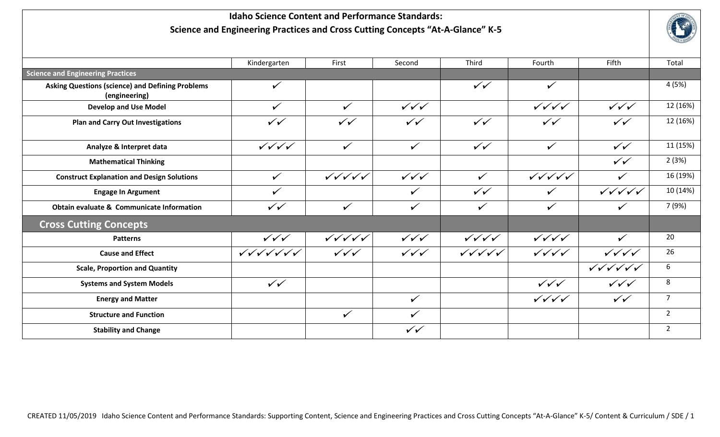## **Idaho Science Content and Performance Standards: Science and Engineering Practices and Cross Cutting Concepts "At-A-Glance" K-5**



|                                                                          | Kindergarten            | First            | Second           | Third                                    | Fourth                  | Fifth                   | Total          |
|--------------------------------------------------------------------------|-------------------------|------------------|------------------|------------------------------------------|-------------------------|-------------------------|----------------|
| <b>Science and Engineering Practices</b>                                 |                         |                  |                  |                                          |                         |                         |                |
| <b>Asking Questions (science) and Defining Problems</b><br>(engineering) | $\checkmark$            |                  |                  | $\checkmark$                             | $\checkmark$            |                         | 4 (5%)         |
| <b>Develop and Use Model</b>                                             | $\checkmark$            | $\checkmark$     | $\sqrt{\sqrt{}}$ |                                          | $\sqrt{\sqrt{\sqrt{}}}$ | $\sqrt{\sqrt{}}$        | 12 (16%)       |
| <b>Plan and Carry Out Investigations</b>                                 | $\checkmark$            | $\checkmark$     | $\checkmark$     | $\checkmark$                             | $\checkmark\checkmark$  | $\checkmark$            | 12 (16%)       |
| Analyze & Interpret data                                                 | $\sqrt{\sqrt{\sqrt{}}}$ | $\checkmark$     | $\checkmark$     | $\checkmark$                             | $\checkmark$            | $\checkmark$            | 11 (15%)       |
| <b>Mathematical Thinking</b>                                             |                         |                  |                  |                                          |                         | $\checkmark$            | 2(3%)          |
| <b>Construct Explanation and Design Solutions</b>                        | $\checkmark$            |                  | $\sqrt{\sqrt{}}$ | $\checkmark$                             |                         | $\checkmark$            | 16 (19%)       |
| <b>Engage In Argument</b>                                                | $\checkmark$            |                  | $\checkmark$     | $\checkmark$                             | $\checkmark$            |                         | 10 (14%)       |
| Obtain evaluate & Communicate Information                                | $\checkmark$            | $\checkmark$     | $\checkmark$     | $\checkmark$                             | $\checkmark$            | $\checkmark$            | 7 (9%)         |
| <b>Cross Cutting Concepts</b>                                            |                         |                  |                  |                                          |                         |                         |                |
| <b>Patterns</b>                                                          | $\sqrt{\sqrt{}}$        |                  | $\sqrt{\sqrt{}}$ | $\sqrt{\sqrt{\sqrt{\sqrt{\mathbf{1}}}}}$ | $\sqrt{\sqrt{\sqrt{}}}$ | $\checkmark$            | 20             |
| <b>Cause and Effect</b>                                                  |                         | $\sqrt{\sqrt{}}$ | $\sqrt{\sqrt{}}$ |                                          | $\sqrt{\sqrt{\sqrt{}}}$ | $\sqrt{\sqrt{\sqrt{}}}$ | 26             |
| <b>Scale, Proportion and Quantity</b>                                    |                         |                  |                  |                                          |                         |                         | 6              |
| <b>Systems and System Models</b>                                         | $\checkmark$            |                  |                  |                                          | $\sqrt{\sqrt{}}$        | $\sqrt{\sqrt{}}$        | 8              |
| <b>Energy and Matter</b>                                                 |                         |                  | $\checkmark$     |                                          | $\sqrt{\sqrt{\sqrt{}}}$ | $\checkmark$            | $\overline{7}$ |
| <b>Structure and Function</b>                                            |                         | $\checkmark$     | $\checkmark$     |                                          |                         |                         | $\overline{2}$ |
| <b>Stability and Change</b>                                              |                         |                  | $\checkmark$     |                                          |                         |                         | $\overline{2}$ |
|                                                                          |                         |                  |                  |                                          |                         |                         |                |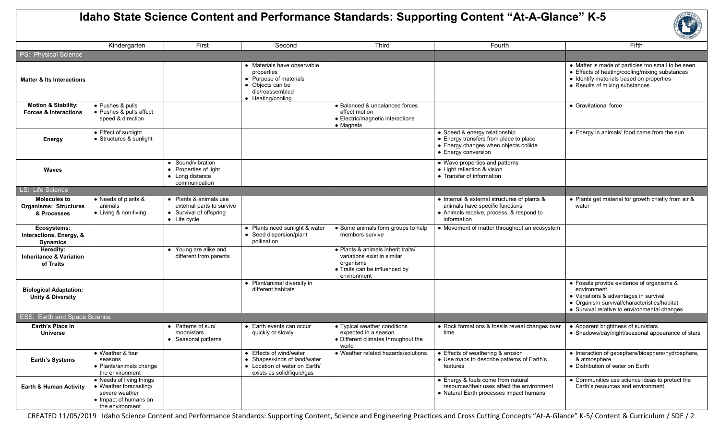## **Idaho State Science Content and Performance Standards: Supporting Content "At-A-Glance" K-5**



|                                                                      | Kindergarten                                                                                                     | First                                                                                          | Second                                                                                                                          | Third                                                                                                                          | Fourth                                                                                                                                     | Fifth                                                                                                                                                                                            |
|----------------------------------------------------------------------|------------------------------------------------------------------------------------------------------------------|------------------------------------------------------------------------------------------------|---------------------------------------------------------------------------------------------------------------------------------|--------------------------------------------------------------------------------------------------------------------------------|--------------------------------------------------------------------------------------------------------------------------------------------|--------------------------------------------------------------------------------------------------------------------------------------------------------------------------------------------------|
| PS: Physical Science                                                 |                                                                                                                  |                                                                                                |                                                                                                                                 |                                                                                                                                |                                                                                                                                            |                                                                                                                                                                                                  |
| <b>Matter &amp; Its Interactions</b>                                 |                                                                                                                  |                                                                                                | • Materials have observable<br>properties<br>• Purpose of materials<br>• Objects can be<br>dis/reassembled<br>• Heating/cooling |                                                                                                                                |                                                                                                                                            | • Matter is made of particles too small to be seen<br>• Effects of heating/cooling/mixing substances<br>· Identify materials based on properties<br>• Results of mixing substances               |
| Motion & Stability:<br><b>Forces &amp; Interactions</b>              | • Pushes & pulls<br>• Pushes & pulls affect<br>speed & direction                                                 |                                                                                                |                                                                                                                                 | • Balanced & unbalanced forces<br>affect motion<br>• Electric/magnetic interactions<br>$\bullet$ Magnets                       |                                                                                                                                            | • Gravitational force                                                                                                                                                                            |
| Energy                                                               | • Effect of sunlight<br>• Structures & sunlight                                                                  |                                                                                                |                                                                                                                                 |                                                                                                                                | • Speed & energy relationship<br>• Energy transfers from place to place<br>• Energy changes when objects collide<br>• Energy conversion    | • Energy in animals' food came from the sun                                                                                                                                                      |
| <b>Waves</b>                                                         |                                                                                                                  | • Sound/vibration<br>• Properties of light<br>• Long distance<br>communication                 |                                                                                                                                 |                                                                                                                                | • Wave properties and patterns<br>• Light reflection & vision<br>• Transfer of information                                                 |                                                                                                                                                                                                  |
| LS: Life Science                                                     |                                                                                                                  |                                                                                                |                                                                                                                                 |                                                                                                                                |                                                                                                                                            |                                                                                                                                                                                                  |
| <b>Molecules to</b><br><b>Organisms: Structures</b><br>& Processes   | • Needs of plants &<br>animals<br>• Living & non-living                                                          | • Plants & animals use<br>external parts to survive<br>• Survival of offspring<br>• Life cycle |                                                                                                                                 |                                                                                                                                | • Internal & external structures of plants &<br>animals have specific functions<br>• Animals receive, process, & respond to<br>information | • Plants get material for growth chiefly from air &<br>water                                                                                                                                     |
| Ecosystems:<br><b>Interactions, Energy, &amp;</b><br><b>Dynamics</b> |                                                                                                                  |                                                                                                | • Plants need sunlight & water<br>• Seed dispersion/plant<br>pollination                                                        | • Some animals form groups to help<br>members survive                                                                          | • Movement of matter throughout an ecosystem                                                                                               |                                                                                                                                                                                                  |
| Heredity:<br><b>Inheritance &amp; Variation</b><br>of Traits         |                                                                                                                  | • Young are alike and<br>different from parents                                                |                                                                                                                                 | • Plants & animals inherit traits/<br>variations exist in similar<br>organisms<br>• Traits can be influenced by<br>environment |                                                                                                                                            |                                                                                                                                                                                                  |
| <b>Biological Adaptation:</b><br><b>Unity &amp; Diversity</b>        |                                                                                                                  |                                                                                                | • Plant/animal diversity in<br>different habitats                                                                               |                                                                                                                                |                                                                                                                                            | • Fossils provide evidence of organisms &<br>environment<br>• Variations & advantages in survival<br>• Organism survival/characteristics/habitat<br>• Survival relative to environmental changes |
| <b>ESS: Earth and Space Science</b>                                  |                                                                                                                  |                                                                                                |                                                                                                                                 |                                                                                                                                |                                                                                                                                            |                                                                                                                                                                                                  |
| Earth's Place in<br><b>Universe</b>                                  |                                                                                                                  | • Patterns of sun/<br>moon/stars<br>• Seasonal patterns                                        | • Earth events can occur<br>quickly or slowly                                                                                   | • Typical weather conditions<br>expected in a season<br>• Different climates throughout the<br>world                           | • Rock formations & fossils reveal changes over<br>time                                                                                    | • Apparent brightness of sun/stars<br>• Shadows/day/night/seasonal appearance of stars                                                                                                           |
| <b>Earth's Systems</b>                                               | • Weather & four<br>seasons<br>• Plants/animals change<br>the environment                                        |                                                                                                | • Effects of wind/water<br>• Shapes/kinds of land/water<br>• Location of water on Earth/<br>exists as solid/liquid/gas          | • Weather related hazards/solutions                                                                                            | • Effects of weathering & erosion<br>• Use maps to describe patterns of Earth's<br>features                                                | • Interaction of geosphere/biosphere/hydrosphere,<br>& atmosphere<br>• Distribution of water on Earth                                                                                            |
| <b>Earth &amp; Human Activity</b>                                    | • Needs of living things<br>• Weather forecasting/<br>severe weather<br>• Impact of humans on<br>the environment |                                                                                                |                                                                                                                                 |                                                                                                                                | • Energy & fuels come from natural<br>resources/their uses affect the environment<br>• Natural Earth processes impact humans               | • Communities use science ideas to protect the<br>Earth's resources and environment.                                                                                                             |

CREATED 11/05/2019 Idaho Science Content and Performance Standards: Supporting Content, Science and Engineering Practices and Cross Cutting Concepts "At-A-Glance" K-5/ Content & Curriculum / SDE / 2